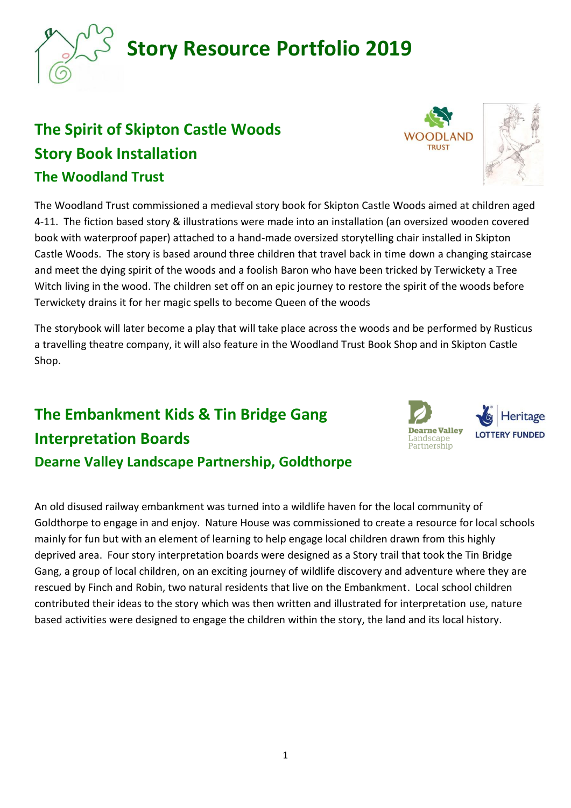## **The Spirit of Skipton Castle Woods Story Book Installation The Woodland Trust**

The Woodland Trust commissioned a medieval story book for Skipton Castle Woods aimed at children aged 4-11. The fiction based story & illustrations were made into an installation (an oversized wooden covered book with waterproof paper) attached to a hand-made oversized storytelling chair installed in Skipton Castle Woods. The story is based around three children that travel back in time down a changing staircase and meet the dying spirit of the woods and a foolish Baron who have been tricked by Terwickety a Tree Witch living in the wood. The children set off on an epic journey to restore the spirit of the woods before Terwickety drains it for her magic spells to become Queen of the woods

The storybook will later become a play that will take place across the woods and be performed by Rusticus a travelling theatre company, it will also feature in the Woodland Trust Book Shop and in Skipton Castle Shop.

## **The Embankment Kids & Tin Bridge Gang Interpretation Boards Dearne Valley Landscape Partnership, Goldthorpe**

An old disused railway embankment was turned into a wildlife haven for the local community of Goldthorpe to engage in and enjoy. Nature House was commissioned to create a resource for local schools mainly for fun but with an element of learning to help engage local children drawn from this highly deprived area. Four story interpretation boards were designed as a Story trail that took the Tin Bridge Gang, a group of local children, on an exciting journey of wildlife discovery and adventure where they are rescued by Finch and Robin, two natural residents that live on the Embankment. Local school children contributed their ideas to the story which was then written and illustrated for interpretation use, nature based activities were designed to engage the children within the story, the land and its local history.





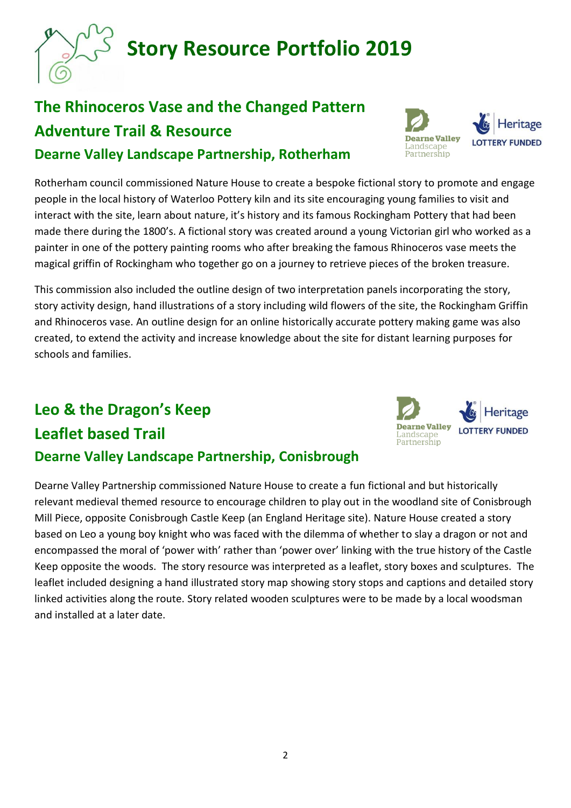# **The Rhinoceros Vase and the Changed Pattern Adventure Trail & Resource Dearne Valley Landscape Partnership, Rotherham**

Rotherham council commissioned Nature House to create a bespoke fictional story to promote and engage people in the local history of Waterloo Pottery kiln and its site encouraging young families to visit and interact with the site, learn about nature, it's history and its famous Rockingham Pottery that had been made there during the 1800's. A fictional story was created around a young Victorian girl who worked as a painter in one of the pottery painting rooms who after breaking the famous Rhinoceros vase meets the magical griffin of Rockingham who together go on a journey to retrieve pieces of the broken treasure.

This commission also included the outline design of two interpretation panels incorporating the story, story activity design, hand illustrations of a story including wild flowers of the site, the Rockingham Griffin and Rhinoceros vase. An outline design for an online historically accurate pottery making game was also created, to extend the activity and increase knowledge about the site for distant learning purposes for schools and families.

# **Leo & the Dragon's Keep Leaflet based Trail Dearne Valley Landscape Partnership, Conisbrough**

Dearne Valley Partnership commissioned Nature House to create a fun fictional and but historically relevant medieval themed resource to encourage children to play out in the woodland site of Conisbrough Mill Piece, opposite Conisbrough Castle Keep (an England Heritage site). Nature House created a story based on Leo a young boy knight who was faced with the dilemma of whether to slay a dragon or not and encompassed the moral of 'power with' rather than 'power over' linking with the true history of the Castle Keep opposite the woods. The story resource was interpreted as a leaflet, story boxes and sculptures. The leaflet included designing a hand illustrated story map showing story stops and captions and detailed story linked activities along the route. Story related wooden sculptures were to be made by a local woodsman and installed at a later date.





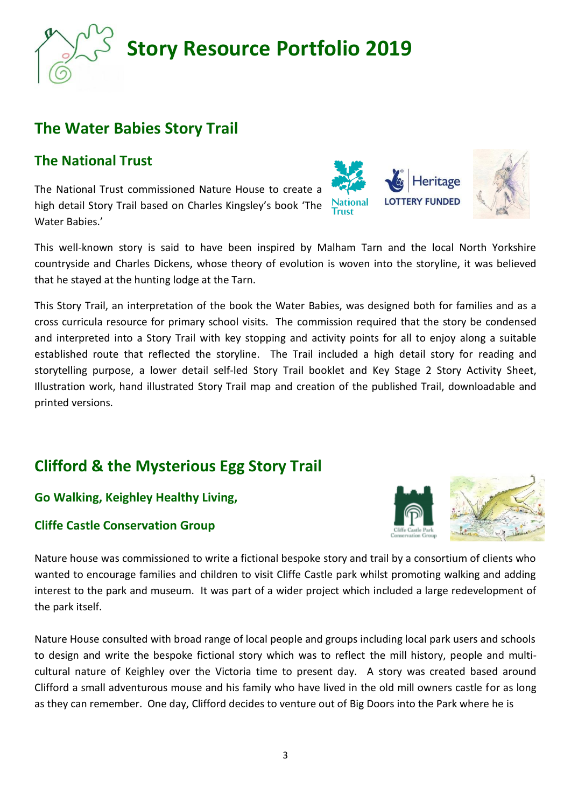### **The Water Babies Story Trail**

### **The National Trust**

The National Trust commissioned Nature House to create a high detail Story Trail based on Charles Kingsley's book 'The Water Babies.'

This well-known story is said to have been inspired by Malham Tarn and the local North Yorkshire countryside and Charles Dickens, whose theory of evolution is woven into the storyline, it was believed that he stayed at the hunting lodge at the Tarn.

This Story Trail, an interpretation of the book the Water Babies, was designed both for families and as a cross curricula resource for primary school visits. The commission required that the story be condensed and interpreted into a Story Trail with key stopping and activity points for all to enjoy along a suitable established route that reflected the storyline. The Trail included a high detail story for reading and storytelling purpose, a lower detail self-led Story Trail booklet and Key Stage 2 Story Activity Sheet, Illustration work, hand illustrated Story Trail map and creation of the published Trail, downloadable and printed versions.

## **Clifford & the Mysterious Egg Story Trail**

#### **Go Walking, Keighley Healthy Living,**

#### **Cliffe Castle Conservation Group**

Nature house was commissioned to write a fictional bespoke story and trail by a consortium of clients who wanted to encourage families and children to visit Cliffe Castle park whilst promoting walking and adding interest to the park and museum. It was part of a wider project which included a large redevelopment of the park itself.

Nature House consulted with broad range of local people and groups including local park users and schools to design and write the bespoke fictional story which was to reflect the mill history, people and multicultural nature of Keighley over the Victoria time to present day. A story was created based around Clifford a small adventurous mouse and his family who have lived in the old mill owners castle for as long as they can remember. One day, Clifford decides to venture out of Big Doors into the Park where he is





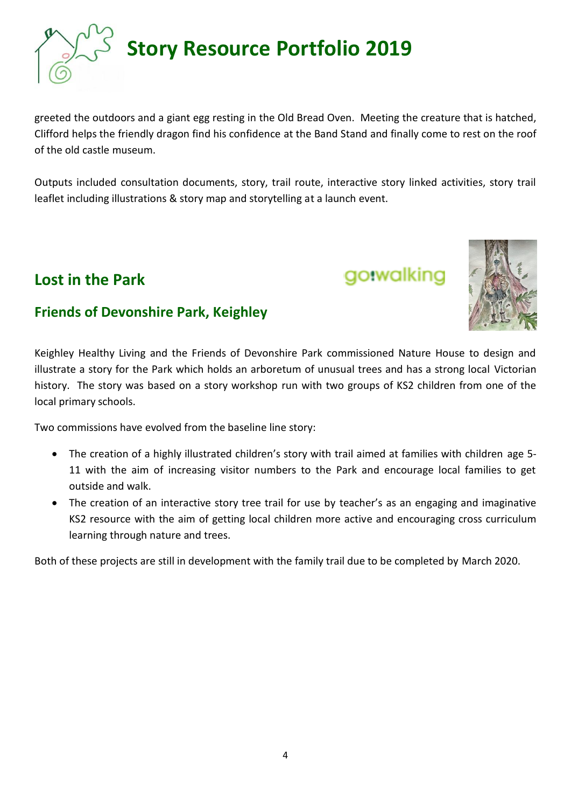

greeted the outdoors and a giant egg resting in the Old Bread Oven. Meeting the creature that is hatched, Clifford helps the friendly dragon find his confidence at the Band Stand and finally come to rest on the roof of the old castle museum.

Outputs included consultation documents, story, trail route, interactive story linked activities, story trail leaflet including illustrations & story map and storytelling at a launch event.

### **Lost in the Park**

### **Friends of Devonshire Park, Keighley**

Keighley Healthy Living and the Friends of Devonshire Park commissioned Nature House to design and illustrate a story for the Park which holds an arboretum of unusual trees and has a strong local Victorian history. The story was based on a story workshop run with two groups of KS2 children from one of the local primary schools.

Two commissions have evolved from the baseline line story:

- The creation of a highly illustrated children's story with trail aimed at families with children age 5- 11 with the aim of increasing visitor numbers to the Park and encourage local families to get outside and walk.
- The creation of an interactive story tree trail for use by teacher's as an engaging and imaginative KS2 resource with the aim of getting local children more active and encouraging cross curriculum learning through nature and trees.

Both of these projects are still in development with the family trail due to be completed by March 2020.

4



go.walking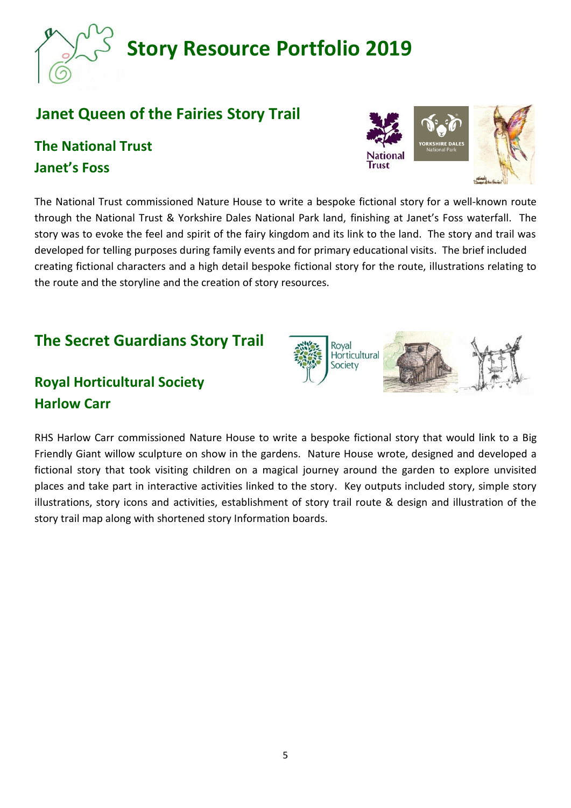## **Janet Queen of the Fairies Story Trail**

## **The National Trust Janet's Foss**

The National Trust commissioned Nature House to write a bespoke fictional story for a well-known route through the National Trust & Yorkshire Dales National Park land, finishing at Janet's Foss waterfall. The story was to evoke the feel and spirit of the fairy kingdom and its link to the land. The story and trail was developed for telling purposes during family events and for primary educational visits. The brief included creating fictional characters and a high detail bespoke fictional story for the route, illustrations relating to the route and the storyline and the creation of story resources.

### **The Secret Guardians Story Trail**

## **Royal Horticultural Society Harlow Carr**

RHS Harlow Carr commissioned Nature House to write a bespoke fictional story that would link to a Big Friendly Giant willow sculpture on show in the gardens. Nature House wrote, designed and developed a fictional story that took visiting children on a magical journey around the garden to explore unvisited places and take part in interactive activities linked to the story. Key outputs included story, simple story illustrations, story icons and activities, establishment of story trail route & design and illustration of the story trail map along with shortened story Information boards.